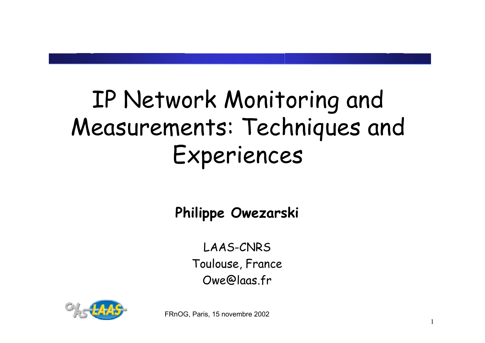# IP Network Monitoring and Measurements: Techniques and Experiences

**Philippe Owezarski**

LAAS-CNRS Toulouse, France Owe@laas.fr

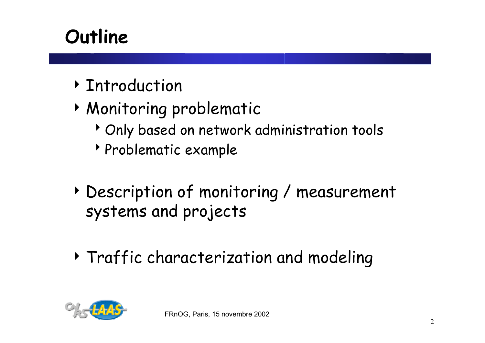# **Outline**

- **DENTITY** Introduction
- 4 Monitoring problematic
	- <sup>></sup> Only based on network administration tools
	- <sup>8</sup>Problematic example
- 4 Description of monitoring / measurement systems and projects
- 4 Traffic characterization and modeling

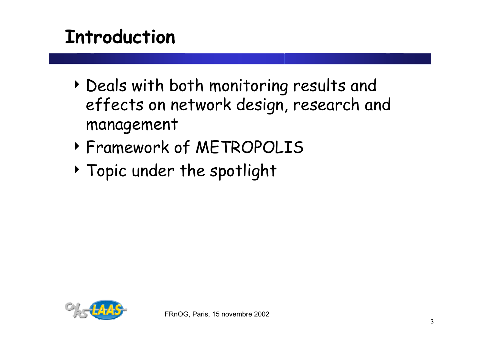# **Introduction**

- 4 Deals with both monitoring results and effects on network design, research and management
- 4 Framework of METROPOLIS
- 4 Topic under the spotlight

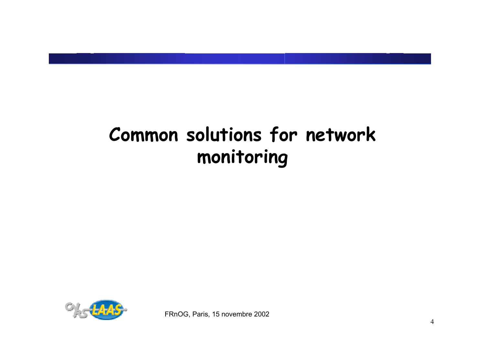# **Common solutions for network monitoring**

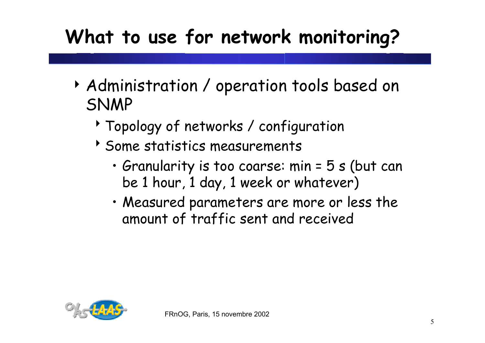# **What to use for network monitoring?**

- 4 Administration / operation tools based on SNMP
	- <sup>></sup> Topology of networks / configuration
	- $\rightarrow$  Some statistics measurements
		- Granularity is too coarse: min = 5 s (but can be 1 hour, 1 day, 1 week or whatever)
		- Measured parameters are more or less the amount of traffic sent and received

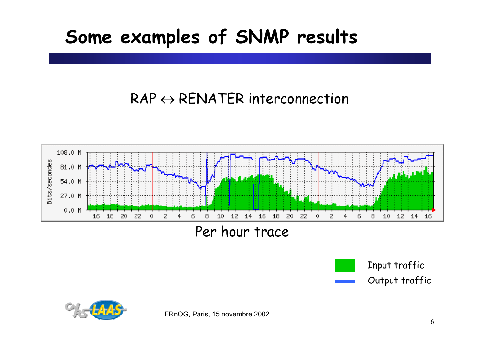#### **Some examples of SNMP results**

#### $\mathsf{RAP} \leftrightarrow \mathsf{RENATER}$  interconnection



Input traffic Output traffic

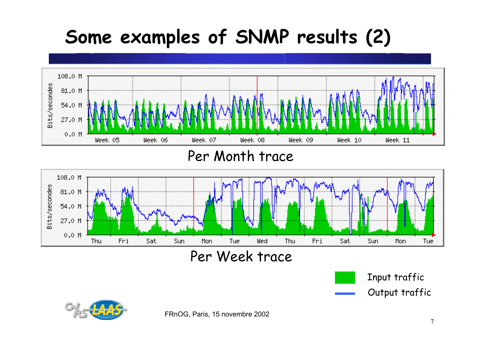# **Some examples of SNMP results (2)**





Input traffic Output traffic



FRnOG, Paris, 15 novembre 2002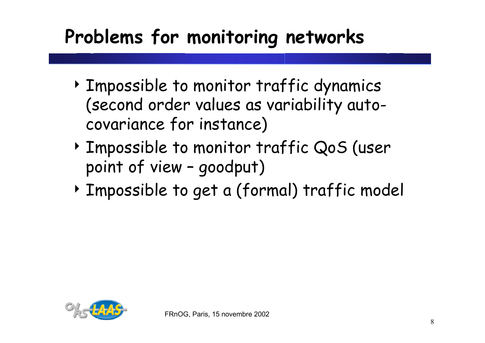# **Problems for monitoring networks**

- 4 Impossible to monitor traffic dynamics (second order values as variability autocovariance for instance)
- 4 Impossible to monitor traffic QoS (user point of view – goodput)
- 4 Impossible to get a (formal) traffic model

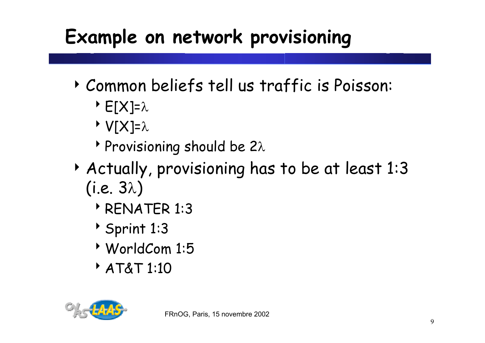# **Example on network provisioning**

- 4 Common beliefs tell us traffic is Poisson:
	- $\triangleright$  E[X]= $\lambda$
	- $\triangleright$  V[X]= $\lambda$
	- **Provisioning should be 2λ**
- 4 Actually, provisioning has to be at least 1:3 (i.e.  $3\lambda$ )
	- **PRENATER 1:3**
	- $\rightarrow$  Sprint 1:3
	- <sup>8</sup>WorldCom 1:5
	- **AT&T 1:10**

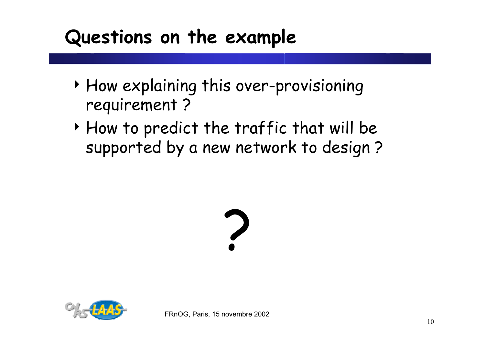## **Questions on the example**

- 4 How explaining this over-provisioning requirement ?
- 4 How to predict the traffic that will be supported by a new network to design ?



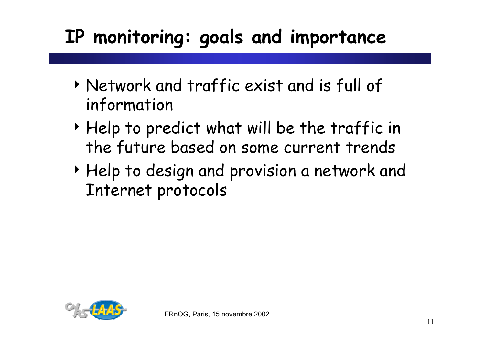# **IP monitoring: goals and importance**

- 4 Network and traffic exist and is full of information
- 4 Help to predict what will be the traffic in the future based on some current trends
- 4 Help to design and provision a network and Internet protocols

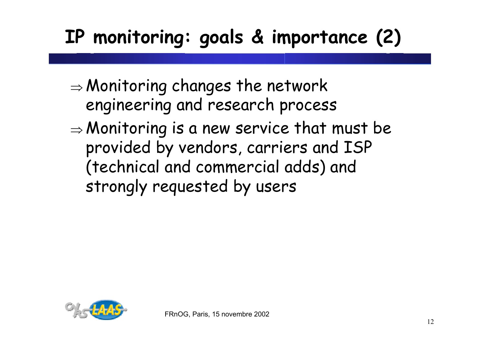# **IP monitoring: goals & importance (2)**

- $\Rightarrow$  Monitoring changes the network engineering and research process
- $\Rightarrow$  Monitoring is a new service that must be provided by vendors, carriers and ISP (technical and commercial adds) and strongly requested by users

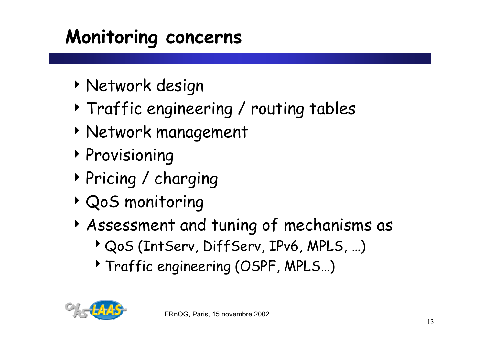# **Monitoring concerns**

- 4 Network design
- 4 Traffic engineering / routing tables
- 4 Network management
- 4 Provisioning
- 4 Pricing / charging
- 4 QoS monitoring
- 4 Assessment and tuning of mechanisms as
	- <sup>></sup> QoS (IntServ, DiffServ, IPv6, MPLS, ...)
	- <sup>></sup> Traffic engineering (OSPF, MPLS...)

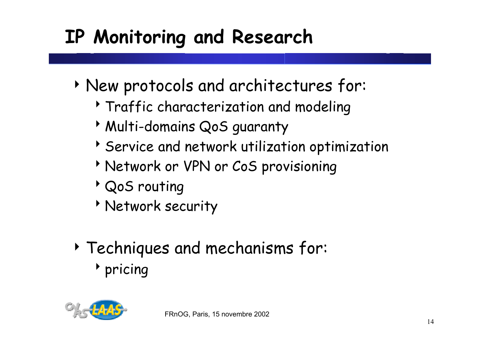# **IP Monitoring and Research**

- 4 New protocols and architectures for:
	- <sup>></sup> Traffic characterization and modeling
	- **Multi-domains QoS guaranty**
	- $\rightarrow$  Service and network utilization optimization
	- **Network or VPN or CoS provisioning**
	- <sup>></sup> QoS routing
	- *Network security*
- 4 Techniques and mechanisms for:  $\rightarrow$  pricing

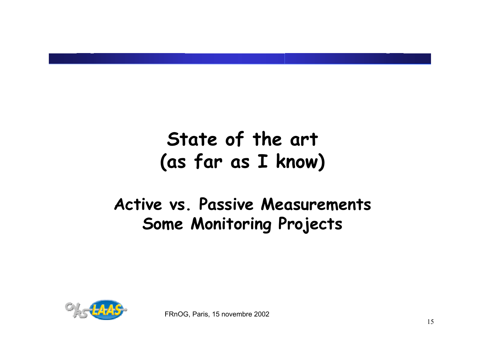### **State of the art (as far as I know)**

#### **Active vs. Passive Measurements Some Monitoring Projects**

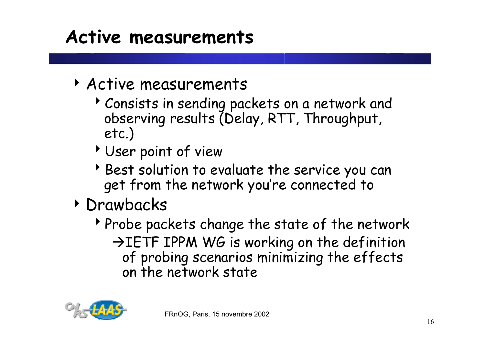#### **Active measurements**

- 4 Active measurements
	- Consists in sending packets on a network and observing results (Delay, RTT, Throughput, etc.)
	- User point of view
	- Best solution to evaluate the service you can get from the network you're connected to
- 4 Drawbacks
	- $\triangleright$  Probe packets change the state of the network  $\rightarrow$  IETF IPPM WG is working on the definition of probing scenarios minimizing the effects on the network state

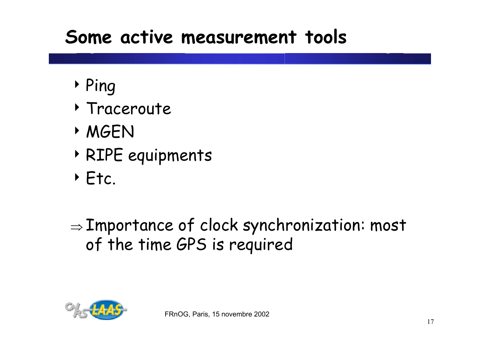#### **Some active measurement tools**

- 4 Ping
- 4 Traceroute
- 4 MGEN
- 4 RIPE equipments
- 4 Etc.

 $\Rightarrow$  Importance of clock synchronization: most  $\overline{\phantom{a}}$ of the time GPS is required

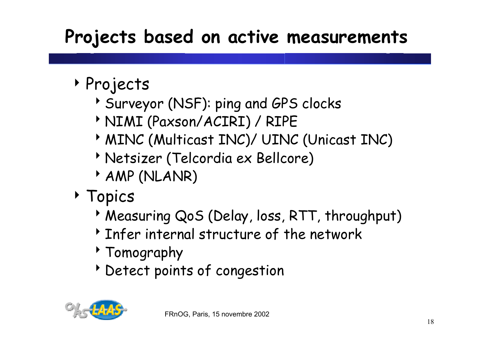# **Projects based on active measurements**

- 4 Projects
	- Surveyor (NSF): ping and GPS clocks
	- **MIMI (Paxson/ACIRI) / RIPE**
	- **MINC (Multicast INC)/ UINC (Unicast INC)**
	- **Metsizer (Telcordia ex Bellcore)**
	- $AMP (NLANR)$
- 4 Topics
	- **Measuring QoS (Delay, loss, RTT, throughput)**
	- $\rightarrow$  Infer internal structure of the network
	- $\rightarrow$  Tomography
	- betect points of congestion

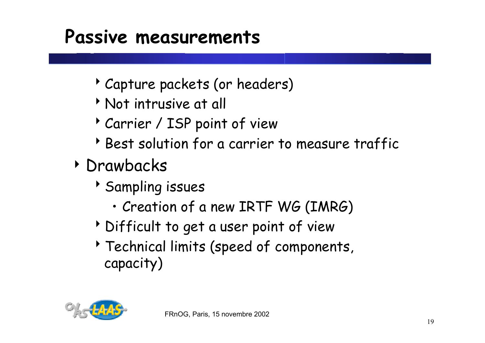#### **Passive measurements**

- Capture packets (or headers)
- <sup>8</sup>Not intrusive at all
- Carrier / ISP point of view
- Best solution for a carrier to measure traffic
- 4 Drawbacks
	- **Sampling issues** 
		- Creation of a new IRTF WG (IMRG)
	- b Difficult to get a user point of view
	- Technical limits (speed of components, capacity)

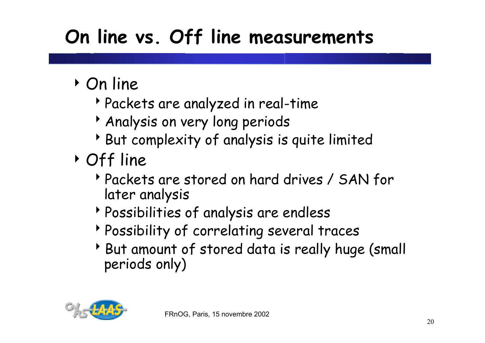# **On line vs. Off line measurements**

- 4 On line
	- <sup>8</sup>Packets are analyzed in real-time
	- <sup>></sup> Analysis on very long periods
	- $\rightarrow$  But complexity of analysis is quite limited
- 4 Off line
	- Packets are stored on hard drives / SAN for later analysis
	- Possibilities of analysis are endless
	- **Possibility of correlating several traces**
	- But amount of stored data is really huge (small periods only)

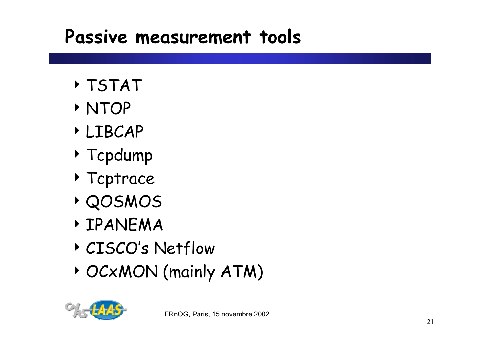## **Passive measurement tools**

- 4 TSTAT
- 4 NTOP
- 4 LIBCAP
- 4 Tcpdump
- 4 Tcptrace
- 4 QOSMOS
- 4 IPANEMA
- 4 CISCO's Netflow
- 4 OCxMON (mainly ATM)

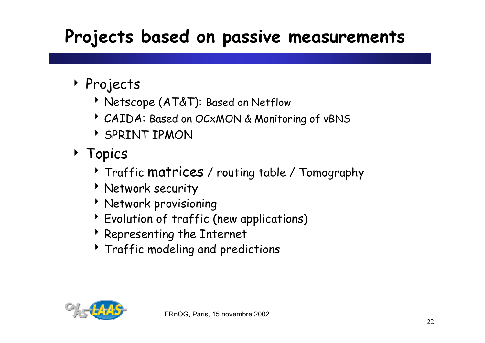#### **Projects based on passive measurements**

- 4 Projects
	- **Netscope (AT&T): Based on Netflow**
	- **CAIDA: Based on OCxMON & Monitoring of vBNS**
	- **SPRINT IPMON**
- 4 Topics
	- <sup>></sup> Traffic matrices / routing table / Tomography
	- **Network security**
	- **Network provisioning**
	- <sup>></sup> Evolution of traffic (new applications)
	- $\rightarrow$  Representing the Internet
	- <sup>></sup> Traffic modeling and predictions

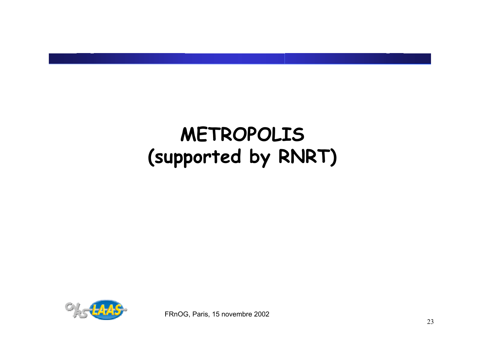

FRnOG, Paris, 15 novembre 2002

#### 23

# **METROPOLIS (supported by RNRT)**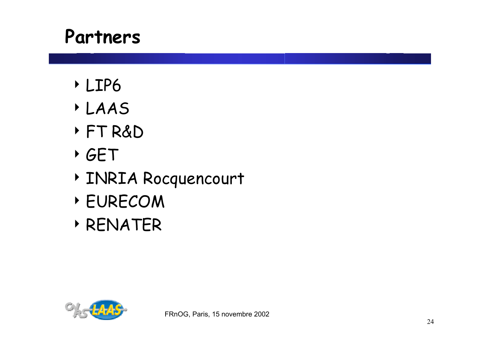#### **Partners**

- 4 LIP6
- 4 LAAS
- 4 FT R&D
- 4 GET
- 4 INRIA Rocquencourt
- 4 EURECOM
- 4 RENATER

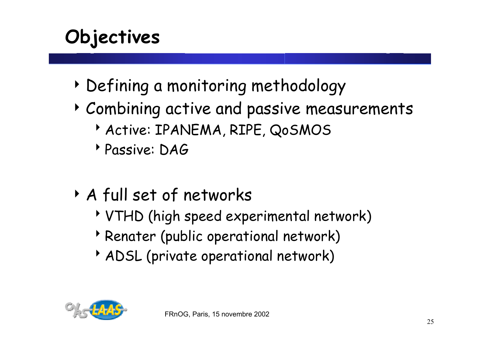# **Objectives**

- 4 Defining a monitoring methodology
- 4 Combining active and passive measurements
	- Active: IPANEMA, RIPE, QOSMOS
	- <sup>8</sup>Passive: DAG
- 4 A full set of networks
	- <sup>8</sup>VTHD (high speed experimental network)
	- **Penater (public operational network)**
	- ADSL (private operational network)

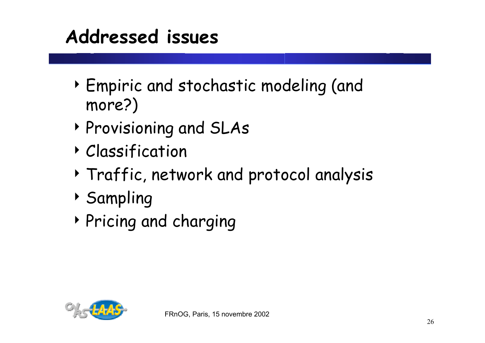## **Addressed issues**

- 4 Empiric and stochastic modeling (and more?)
- 4 Provisioning and SLAs
- 4 Classification
- 4 Traffic, network and protocol analysis
- 4 Sampling
- 4 Pricing and charging

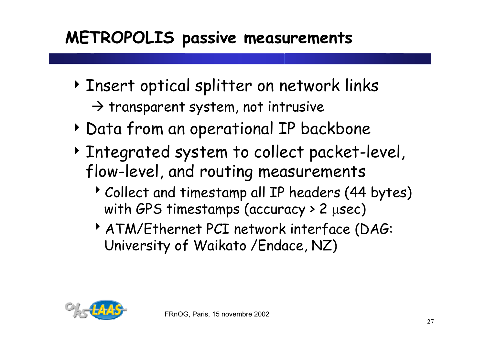#### **METROPOLIS passive measurements**

- 4 Insert optical splitter on network links  $\rightarrow$  transparent system, not intrusive
- 4 Data from an operational IP backbone
- 4 Integrated system to collect packet-level, flow-level, and routing measurements
	- Collect and timestamp all IP headers (44 bytes) with GPS timestamps (accuracy > 2 <sup>µ</sup>sec)
	- <sup>8</sup>ATM/Ethernet PCI network interface (DAG: University of Waikato /Endace, NZ)

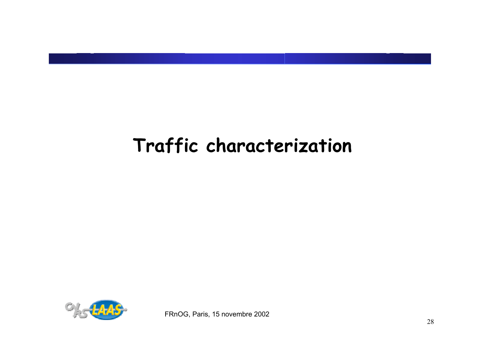## **Traffic characterization**

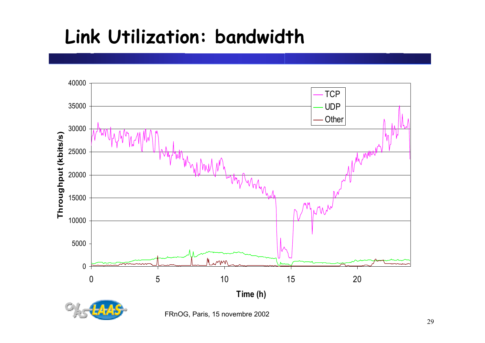# **Link Utilization: bandwidth**



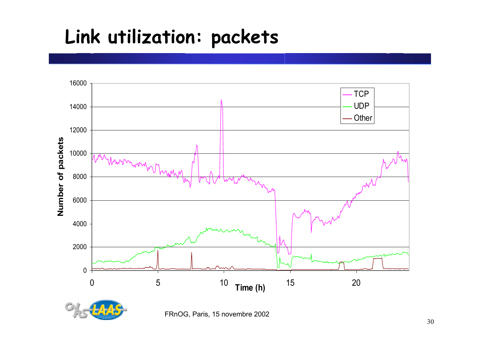# **Link utilization: packets**



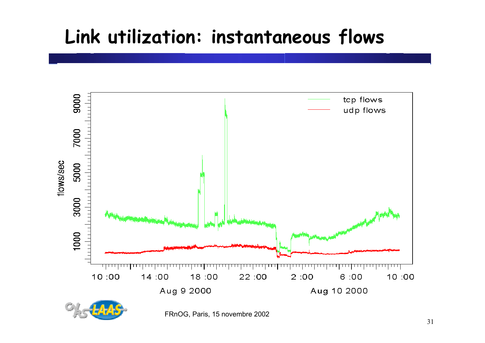## **Link utilization: instantaneous flows**

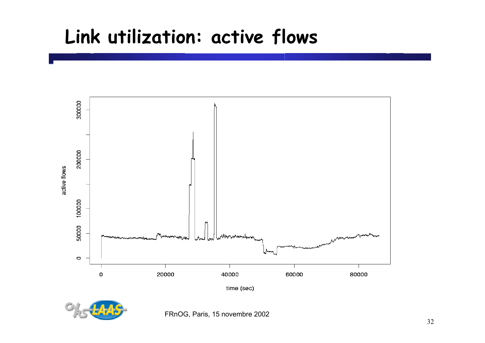#### **Link utilization: active flows**



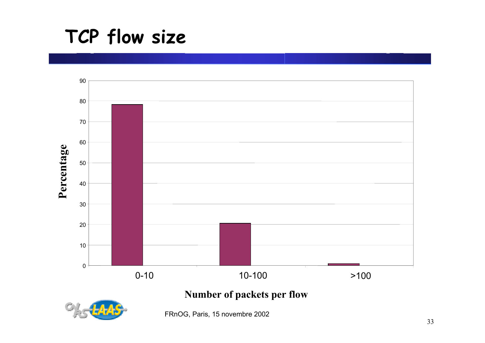#### **TCP flow size**



**Number of packets per flow**

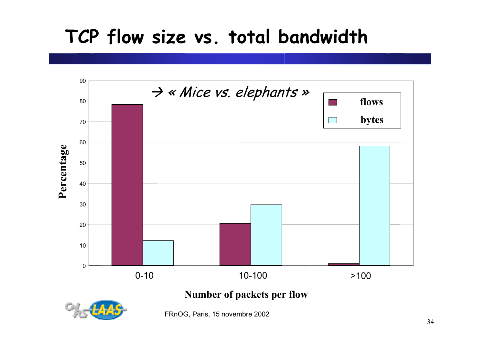# **TCP flow size vs. total bandwidth**



**Number of packets per flow**

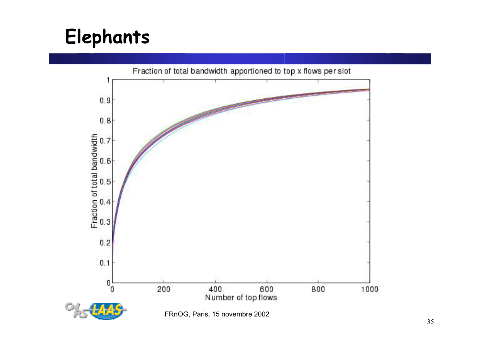# **Elephants**



FRnOG, Paris, 15 novembre 2002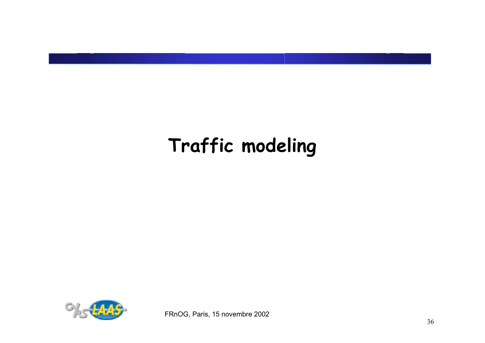# **Traffic modeling**

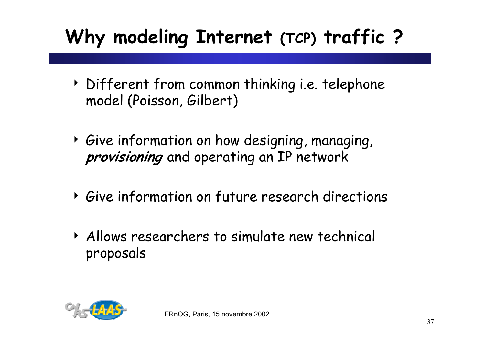# **Why modeling Internet (TCP) traffic ?**

- 4 Different from common thinking i.e. telephone model (Poisson, Gilbert)
- 4 Give information on how designing, managing, **provisioning** and operating an IP network
- 4 Give information on future research directions
- 4 Allows researchers to simulate new technical proposals

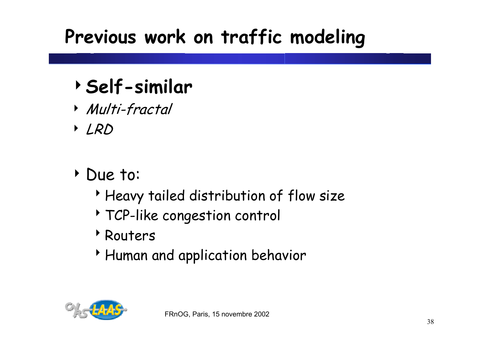# **Previous work on traffic modeling**

# <sup>4</sup>**Self-similar**

- 4 Multi-fractal
- 4 LRD
- 4 Due to:
	- Heavy tailed distribution of flow size
	- <sup>t</sup> TCP-like congestion control
	- *N*euters
	- **Human and application behavior**

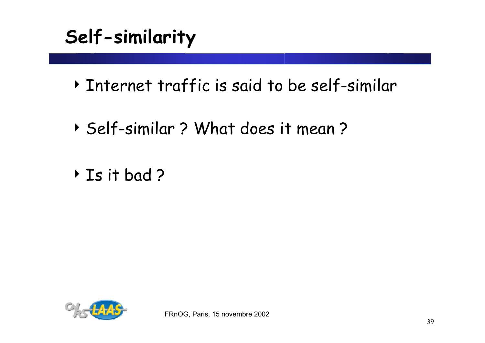# **Self-similarity**

- 4 Internet traffic is said to be self-similar
- 4 Self-similar ? What does it mean ?
- 4 Is it bad ?

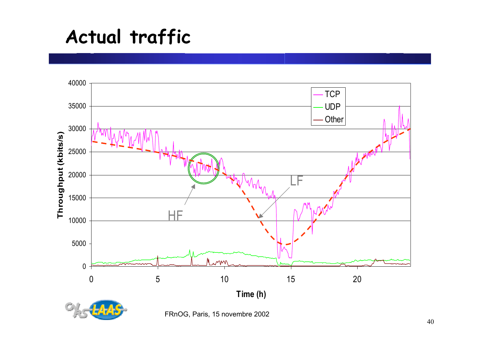#### **Actual traffic**



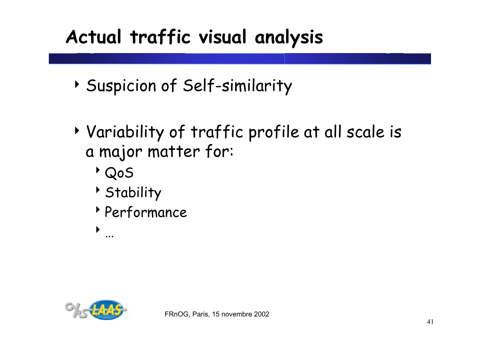# **Actual traffic visual analysis**

- 4 Suspicion of Self-similarity
- 4 Variability of traffic profile at all scale is a major matter for:
	- <sup>8</sup>QoS
	- **Stability**
	- **Performance**

 $\blacktriangleright$ 

…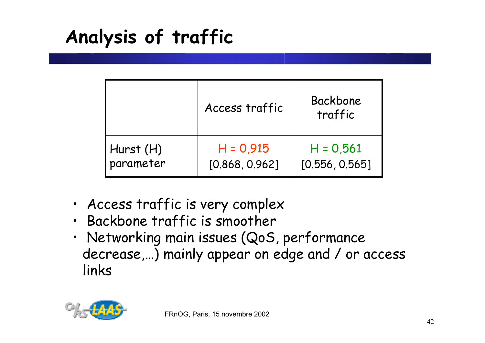**Analysis of traffic**

|             | Access traffic | Backbone<br>traffic |
|-------------|----------------|---------------------|
| Hurst $(H)$ | $H = 0.915$    | $H = 0,561$         |
| parameter   | [0.868, 0.962] | [0.556, 0.565]      |

- Access traffic is very complex
- Backbone traffic is smoother
- Networking main issues (QoS, performance decrease,…) mainly appear on edge and / or access links

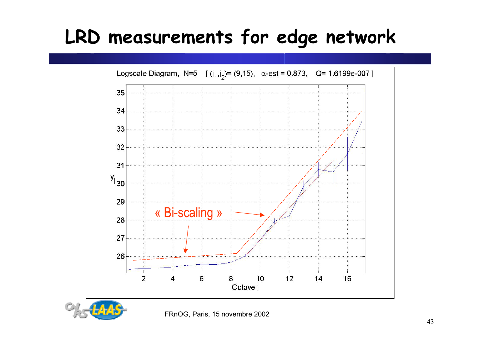# **LRD measurements for edge network**



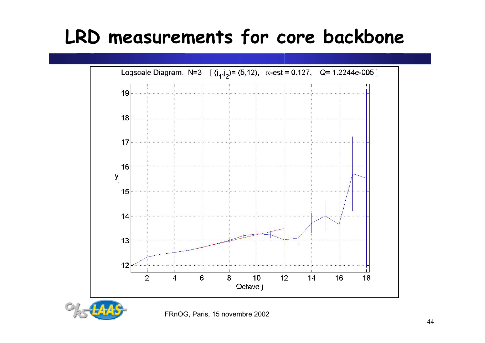# **LRD measurements for core backbone**



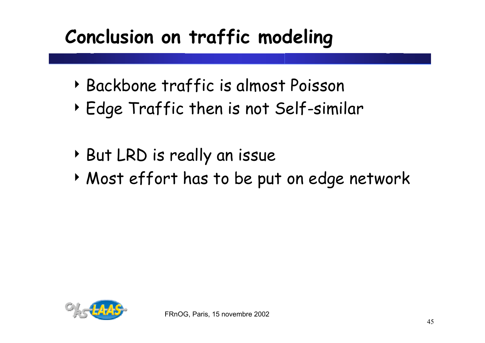# **Conclusion on traffic modeling**

- 4 Backbone traffic is almost Poisson
- 4 Edge Traffic then is not Self-similar
- 4 But LRD is really an issue
- 4 Most effort has to be put on edge network